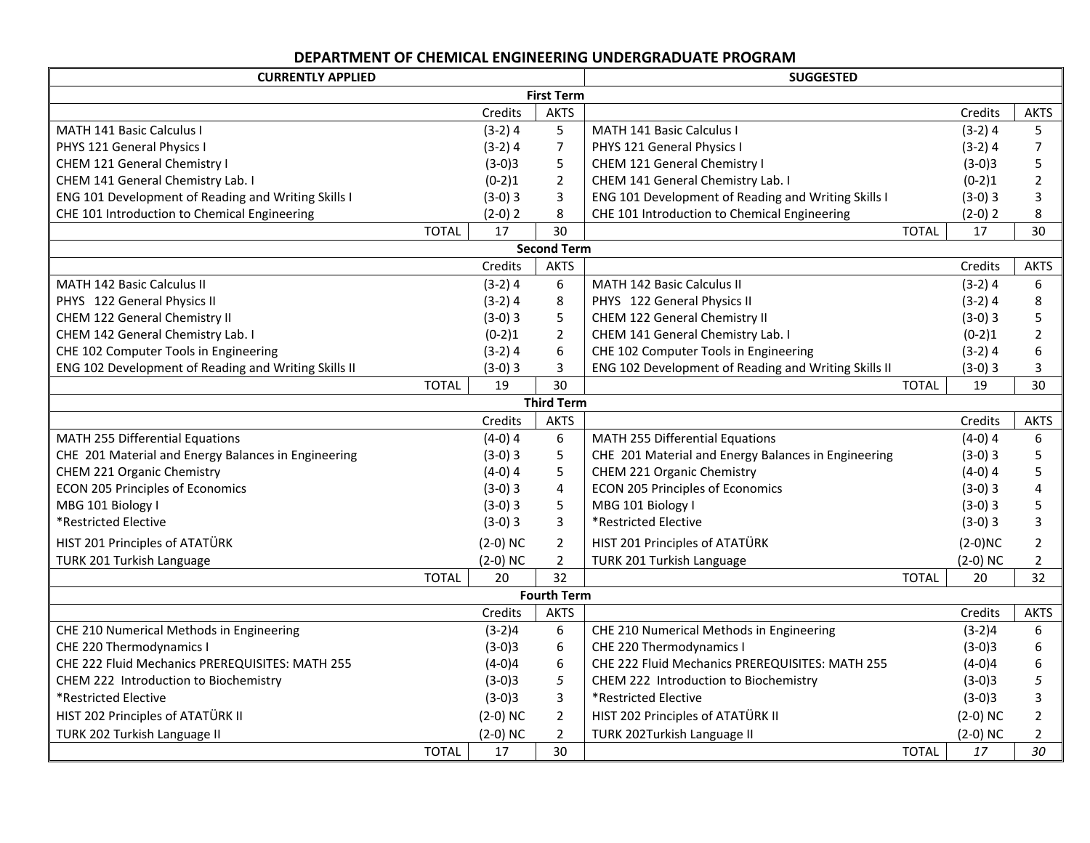# **DEPARTMENT OF CHEMICAL ENGINEERING UNDERGRADUATE PROGRAM**

| <b>CURRENTLY APPLIED</b>                             |              | <b>SUGGESTED</b> |                    |                                                      |              |            |                |
|------------------------------------------------------|--------------|------------------|--------------------|------------------------------------------------------|--------------|------------|----------------|
|                                                      |              |                  | <b>First Term</b>  |                                                      |              |            |                |
|                                                      |              | Credits          | <b>AKTS</b>        |                                                      |              | Credits    | <b>AKTS</b>    |
| MATH 141 Basic Calculus I                            |              | $(3-2)4$         | 5                  | MATH 141 Basic Calculus I                            |              | $(3-2)$ 4  | 5              |
| PHYS 121 General Physics I                           |              | $(3-2)$ 4        | $\overline{7}$     | PHYS 121 General Physics I                           |              | $(3-2)$ 4  | $\overline{7}$ |
| CHEM 121 General Chemistry I                         |              | $(3-0)3$         | 5                  | CHEM 121 General Chemistry I                         |              | $(3-0)3$   | 5              |
| CHEM 141 General Chemistry Lab. I                    |              | $(0-2)1$         | $\overline{2}$     | CHEM 141 General Chemistry Lab. I                    |              | $(0-2)1$   | $\overline{2}$ |
| ENG 101 Development of Reading and Writing Skills I  |              | $(3-0)3$         | 3                  | ENG 101 Development of Reading and Writing Skills I  |              | $(3-0)3$   | 3              |
| CHE 101 Introduction to Chemical Engineering         |              | $(2-0)$ 2        | 8                  | CHE 101 Introduction to Chemical Engineering         |              | $(2-0)$ 2  | 8              |
|                                                      | <b>TOTAL</b> | 17               | 30                 |                                                      | <b>TOTAL</b> | 17         | 30             |
|                                                      |              |                  | <b>Second Term</b> |                                                      |              |            |                |
|                                                      |              | Credits          | <b>AKTS</b>        |                                                      |              | Credits    | <b>AKTS</b>    |
| <b>MATH 142 Basic Calculus II</b>                    |              | $(3-2)4$         | 6                  | <b>MATH 142 Basic Calculus II</b>                    |              | $(3-2)$ 4  | 6              |
| PHYS 122 General Physics II                          |              | $(3-2)$ 4        | 8                  | PHYS 122 General Physics II                          |              | $(3-2)4$   | 8              |
| CHEM 122 General Chemistry II                        |              | $(3-0)3$         | 5                  | CHEM 122 General Chemistry II                        |              | $(3-0)3$   | 5              |
| CHEM 142 General Chemistry Lab. I                    |              | $(0-2)1$         | $\overline{2}$     | CHEM 141 General Chemistry Lab. I                    |              | $(0-2)1$   | $\overline{2}$ |
| CHE 102 Computer Tools in Engineering                |              | $(3-2)$ 4        | 6                  | CHE 102 Computer Tools in Engineering                |              | $(3-2)4$   | 6              |
| ENG 102 Development of Reading and Writing Skills II |              | $(3-0)3$         | 3                  | ENG 102 Development of Reading and Writing Skills II |              | $(3-0)3$   | 3              |
|                                                      | <b>TOTAL</b> | 19               | 30                 |                                                      | <b>TOTAL</b> | 19         | 30             |
|                                                      |              |                  | <b>Third Term</b>  |                                                      |              |            |                |
|                                                      |              | Credits          | <b>AKTS</b>        |                                                      |              | Credits    | <b>AKTS</b>    |
| MATH 255 Differential Equations                      |              | $(4-0)$ 4        | 6                  | MATH 255 Differential Equations                      |              | $(4-0)$ 4  | 6              |
| CHE 201 Material and Energy Balances in Engineering  |              | $(3-0)3$         | 5                  | CHE 201 Material and Energy Balances in Engineering  |              | $(3-0)3$   | 5              |
| CHEM 221 Organic Chemistry                           |              | $(4-0)$ 4        | 5                  | CHEM 221 Organic Chemistry                           |              | $(4-0)$ 4  | 5              |
| <b>ECON 205 Principles of Economics</b>              |              | $(3-0)3$         | 4                  | <b>ECON 205 Principles of Economics</b>              |              | $(3-0)3$   | 4              |
| MBG 101 Biology I                                    |              | $(3-0)3$         | 5                  | MBG 101 Biology I                                    |              | $(3-0)3$   | 5              |
| *Restricted Elective                                 |              | $(3-0)3$         | 3                  | *Restricted Elective                                 |              | $(3-0)3$   | $\overline{3}$ |
| HIST 201 Principles of ATATÜRK                       |              | $(2-0)$ NC       | $\overline{2}$     | HIST 201 Principles of ATATÜRK                       |              | $(2-0)NC$  | $\overline{2}$ |
| TURK 201 Turkish Language                            |              | $(2-0)$ NC       | $\overline{2}$     | TURK 201 Turkish Language                            |              | $(2-0)$ NC | $\overline{2}$ |
|                                                      | <b>TOTAL</b> | 20               | 32                 |                                                      | <b>TOTAL</b> | 20         | 32             |
|                                                      |              |                  | <b>Fourth Term</b> |                                                      |              |            |                |
|                                                      |              | Credits          | <b>AKTS</b>        |                                                      |              | Credits    | <b>AKTS</b>    |
| CHE 210 Numerical Methods in Engineering             |              | $(3-2)4$         | 6                  | CHE 210 Numerical Methods in Engineering             |              | $(3-2)4$   | 6              |
| CHE 220 Thermodynamics I                             |              | $(3-0)3$         | 6                  | CHE 220 Thermodynamics I                             |              | $(3-0)3$   | 6              |
| CHE 222 Fluid Mechanics PREREQUISITES: MATH 255      |              | $(4-0)4$         | 6                  | CHE 222 Fluid Mechanics PREREQUISITES: MATH 255      |              | $(4-0)4$   | 6              |
| CHEM 222 Introduction to Biochemistry                |              | $(3-0)3$         | 5                  | CHEM 222 Introduction to Biochemistry                |              | $(3-0)3$   | 5              |
| *Restricted Elective                                 |              | $(3-0)3$         | 3                  | *Restricted Elective                                 |              | $(3-0)3$   | 3              |
| HIST 202 Principles of ATATÜRK II                    |              | $(2-0)$ NC       | $\overline{2}$     | HIST 202 Principles of ATATÜRK II                    |              | $(2-0)$ NC | 2              |
| TURK 202 Turkish Language II                         |              | $(2-0)$ NC       | $\overline{2}$     | TURK 202Turkish Language II                          |              | $(2-0)$ NC | $\overline{2}$ |
|                                                      | <b>TOTAL</b> | 17               | 30                 |                                                      | <b>TOTAL</b> | 17         | 30             |
|                                                      |              |                  |                    |                                                      |              |            |                |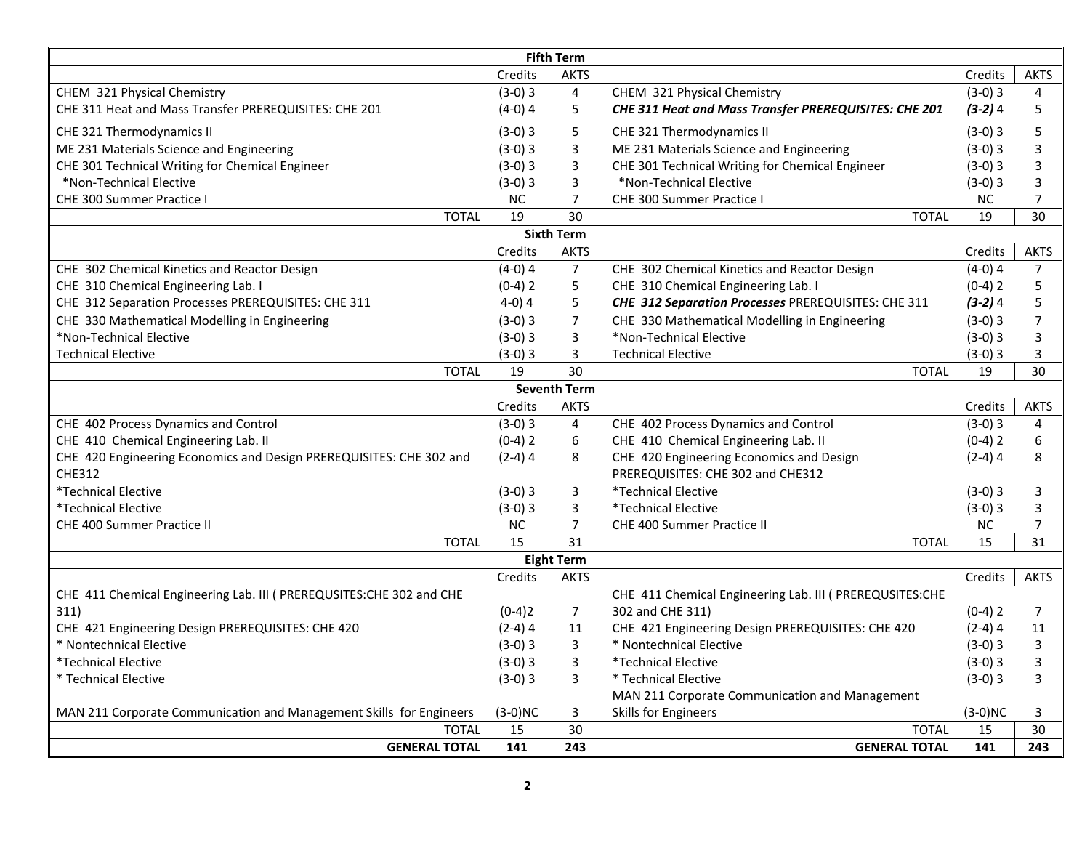| <b>Fifth Term</b>                                                    |           |                     |                                                          |           |                |  |  |  |  |
|----------------------------------------------------------------------|-----------|---------------------|----------------------------------------------------------|-----------|----------------|--|--|--|--|
|                                                                      | Credits   | <b>AKTS</b>         |                                                          | Credits   | <b>AKTS</b>    |  |  |  |  |
| CHEM 321 Physical Chemistry                                          | $(3-0)3$  | $\overline{4}$      | CHEM 321 Physical Chemistry                              | $(3-0)3$  | 4              |  |  |  |  |
| CHE 311 Heat and Mass Transfer PREREQUISITES: CHE 201                | $(4-0)$ 4 | 5                   | CHE 311 Heat and Mass Transfer PREREQUISITES: CHE 201    | $(3-2)4$  | 5              |  |  |  |  |
| CHE 321 Thermodynamics II                                            | $(3-0)3$  | 5                   | CHE 321 Thermodynamics II                                | $(3-0)3$  | 5              |  |  |  |  |
| ME 231 Materials Science and Engineering                             | $(3-0)3$  | 3                   | ME 231 Materials Science and Engineering                 | $(3-0)3$  | 3              |  |  |  |  |
| CHE 301 Technical Writing for Chemical Engineer                      | $(3-0)3$  | 3                   | CHE 301 Technical Writing for Chemical Engineer          | $(3-0)3$  | 3              |  |  |  |  |
| *Non-Technical Elective                                              | $(3-0)3$  | 3                   | *Non-Technical Elective                                  | $(3-0)3$  | 3              |  |  |  |  |
| CHE 300 Summer Practice I                                            | <b>NC</b> | $\overline{7}$      | CHE 300 Summer Practice I                                | <b>NC</b> | $\overline{7}$ |  |  |  |  |
| <b>TOTAL</b>                                                         | 19        | 30                  | <b>TOTAL</b>                                             | 19        | 30             |  |  |  |  |
|                                                                      |           | <b>Sixth Term</b>   |                                                          |           |                |  |  |  |  |
|                                                                      | Credits   | <b>AKTS</b>         |                                                          | Credits   | <b>AKTS</b>    |  |  |  |  |
| CHE 302 Chemical Kinetics and Reactor Design                         | $(4-0)$ 4 | $\overline{7}$      | CHE 302 Chemical Kinetics and Reactor Design             | $(4-0)$ 4 | $\overline{7}$ |  |  |  |  |
| CHE 310 Chemical Engineering Lab. I                                  | $(0-4)$ 2 | 5                   | CHE 310 Chemical Engineering Lab. I                      | $(0-4)$ 2 | 5              |  |  |  |  |
| CHE 312 Separation Processes PREREQUISITES: CHE 311                  | $4-0)4$   | 5                   | CHE 312 Separation Processes PREREQUISITES: CHE 311      | $(3-2)4$  | 5              |  |  |  |  |
| CHE 330 Mathematical Modelling in Engineering                        | $(3-0)3$  | $\overline{7}$      | CHE 330 Mathematical Modelling in Engineering            | $(3-0)3$  | 7              |  |  |  |  |
| *Non-Technical Elective                                              | $(3-0)3$  | 3                   | *Non-Technical Elective                                  | $(3-0)3$  | 3              |  |  |  |  |
| <b>Technical Elective</b>                                            | $(3-0)3$  | $\overline{3}$      | <b>Technical Elective</b>                                | $(3-0)3$  | 3              |  |  |  |  |
| <b>TOTAL</b>                                                         | 19        | 30                  | <b>TOTAL</b>                                             | 19        | 30             |  |  |  |  |
|                                                                      |           | <b>Seventh Term</b> |                                                          |           |                |  |  |  |  |
|                                                                      | Credits   | <b>AKTS</b>         |                                                          | Credits   | <b>AKTS</b>    |  |  |  |  |
| CHE 402 Process Dynamics and Control                                 | $(3-0)3$  | $\overline{4}$      | CHE 402 Process Dynamics and Control                     | $(3-0)3$  | 4              |  |  |  |  |
| CHE 410 Chemical Engineering Lab. II                                 | $(0-4)$ 2 | 6                   | CHE 410 Chemical Engineering Lab. II                     | $(0-4)$ 2 | 6              |  |  |  |  |
| CHE 420 Engineering Economics and Design PREREQUISITES: CHE 302 and  | $(2-4)$ 4 | 8                   | CHE 420 Engineering Economics and Design                 | $(2-4)$ 4 | 8              |  |  |  |  |
| <b>CHE312</b>                                                        |           |                     | PREREQUISITES: CHE 302 and CHE312                        |           |                |  |  |  |  |
| *Technical Elective                                                  | $(3-0)3$  | 3                   | *Technical Elective                                      | $(3-0)3$  | 3              |  |  |  |  |
| *Technical Elective                                                  | $(3-0)3$  | $\overline{3}$      | *Technical Elective                                      | $(3-0)3$  | 3              |  |  |  |  |
| <b>CHE 400 Summer Practice II</b>                                    | NC.       | $\overline{7}$      | <b>CHE 400 Summer Practice II</b>                        | <b>NC</b> | 7              |  |  |  |  |
| <b>TOTAL</b>                                                         | 15        | 31                  | <b>TOTAL</b>                                             | 15        | 31             |  |  |  |  |
|                                                                      |           | <b>Eight Term</b>   |                                                          |           |                |  |  |  |  |
|                                                                      | Credits   | <b>AKTS</b>         |                                                          | Credits   | <b>AKTS</b>    |  |  |  |  |
| CHE 411 Chemical Engineering Lab. III ( PREREQUSITES:CHE 302 and CHE |           |                     | CHE 411 Chemical Engineering Lab. III ( PREREQUSITES:CHE |           |                |  |  |  |  |
| 311)                                                                 | $(0-4)2$  | $\overline{7}$      | 302 and CHE 311)                                         | $(0-4)$ 2 | $\overline{7}$ |  |  |  |  |
| CHE 421 Engineering Design PREREQUISITES: CHE 420                    | $(2-4)$ 4 | 11                  | CHE 421 Engineering Design PREREQUISITES: CHE 420        | $(2-4)4$  | 11             |  |  |  |  |
| * Nontechnical Elective                                              | $(3-0)3$  | 3                   | * Nontechnical Elective                                  | $(3-0)3$  | 3              |  |  |  |  |
| *Technical Elective                                                  | $(3-0)3$  | 3                   | <i>*</i> Technical Elective                              | $(3-0)3$  | 3              |  |  |  |  |
| * Technical Elective                                                 | $(3-0)3$  | 3                   | * Technical Elective                                     | $(3-0)3$  | 3              |  |  |  |  |
|                                                                      |           |                     | MAN 211 Corporate Communication and Management           |           |                |  |  |  |  |
| MAN 211 Corporate Communication and Management Skills for Engineers  | $(3-0)NC$ | 3                   | Skills for Engineers                                     | $(3-0)NC$ | 3              |  |  |  |  |
| <b>TOTAL</b>                                                         | 15        | 30                  | <b>TOTAL</b>                                             | 15        | 30             |  |  |  |  |
| <b>GENERAL TOTAL</b>                                                 | 141       | 243                 | <b>GENERAL TOTAL</b>                                     | 141       | 243            |  |  |  |  |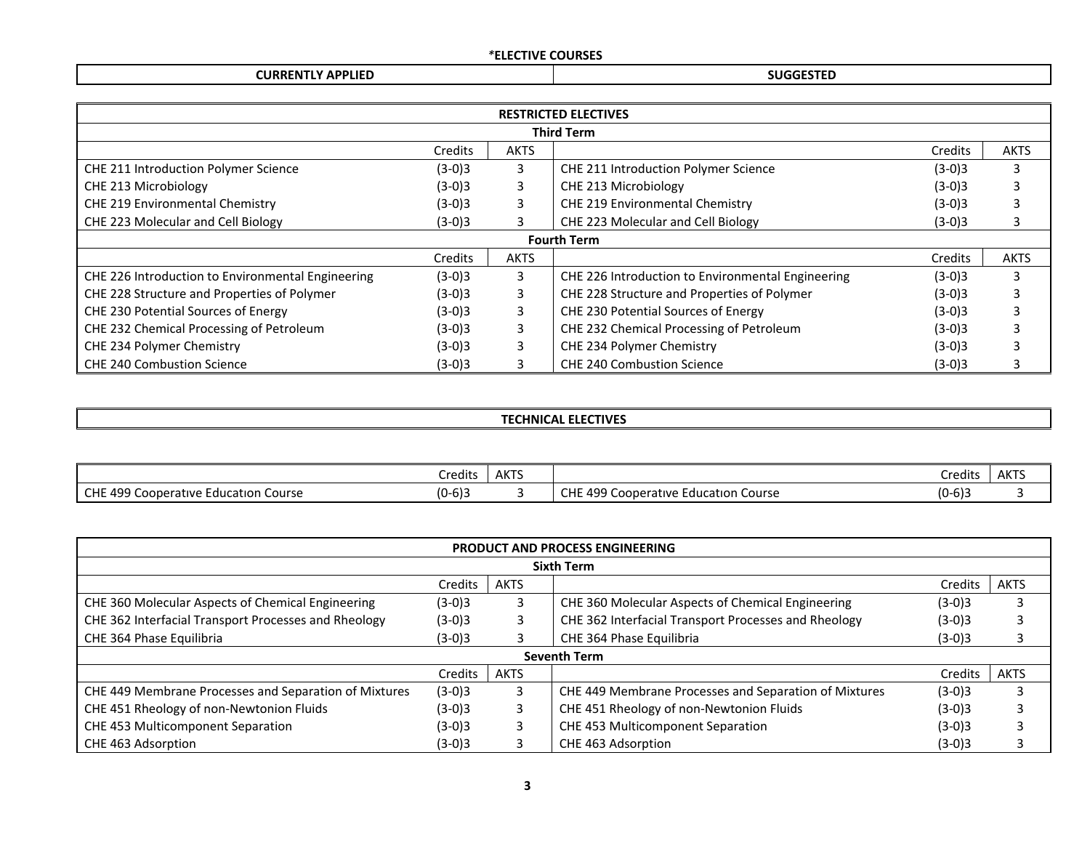### *\****ELECTIVE COURSES**

## **CURRENTLY APPLIED SUGGESTED**

| <b>RESTRICTED ELECTIVES</b>                       |          |             |                                                   |          |             |  |  |  |
|---------------------------------------------------|----------|-------------|---------------------------------------------------|----------|-------------|--|--|--|
| <b>Third Term</b>                                 |          |             |                                                   |          |             |  |  |  |
|                                                   | Credits  | <b>AKTS</b> |                                                   | Credits  | <b>AKTS</b> |  |  |  |
| CHE 211 Introduction Polymer Science              | $(3-0)3$ | 3           | CHE 211 Introduction Polymer Science              | $(3-0)3$ | З           |  |  |  |
| CHE 213 Microbiology                              | $(3-0)3$ | 3           | CHE 213 Microbiology                              | $(3-0)3$ |             |  |  |  |
| CHE 219 Environmental Chemistry                   | $(3-0)3$ | 3           | CHE 219 Environmental Chemistry                   | $(3-0)3$ |             |  |  |  |
| CHE 223 Molecular and Cell Biology                | $(3-0)3$ | 3           | CHE 223 Molecular and Cell Biology                | $(3-0)3$ | 3           |  |  |  |
| <b>Fourth Term</b>                                |          |             |                                                   |          |             |  |  |  |
|                                                   | Credits  | <b>AKTS</b> |                                                   | Credits  | <b>AKTS</b> |  |  |  |
| CHE 226 Introduction to Environmental Engineering | $(3-0)3$ | 3           | CHE 226 Introduction to Environmental Engineering | $(3-0)3$ | 3           |  |  |  |
| CHE 228 Structure and Properties of Polymer       | $(3-0)3$ | 3           | CHE 228 Structure and Properties of Polymer       | $(3-0)3$ |             |  |  |  |
| CHE 230 Potential Sources of Energy               | $(3-0)3$ | 3           | CHE 230 Potential Sources of Energy               | $(3-0)3$ |             |  |  |  |
| CHE 232 Chemical Processing of Petroleum          | $(3-0)3$ | 3           | CHE 232 Chemical Processing of Petroleum          | $(3-0)3$ |             |  |  |  |
| CHE 234 Polymer Chemistry                         | $(3-0)3$ | 3           | CHE 234 Polymer Chemistry                         | $(3-0)3$ |             |  |  |  |
| <b>CHE 240 Combustion Science</b>                 | $(3-0)3$ | 3.          | CHE 240 Combustion Science                        | $(3-0)3$ |             |  |  |  |

### **TECHNICAL ELECTIVES**

|                                                       | .<br>Credits            | <b>AKTS</b> |                                                   | `redits                              | <b>AKTS</b> |
|-------------------------------------------------------|-------------------------|-------------|---------------------------------------------------|--------------------------------------|-------------|
| 499 C<br>I CHE<br>Course<br>. Cooperative Education C | $\sim$<br>ın.<br>IU-613 |             | $\sqrt{200}$<br>Course<br>Cooperative Education C | $\sqrt{2}$<br>$\sim$<br>U J-<br>כוס- |             |

| <b>PRODUCT AND PROCESS ENGINEERING</b>                |          |             |                                                       |          |             |  |  |  |
|-------------------------------------------------------|----------|-------------|-------------------------------------------------------|----------|-------------|--|--|--|
| <b>Sixth Term</b>                                     |          |             |                                                       |          |             |  |  |  |
|                                                       | Credits  | <b>AKTS</b> |                                                       | Credits  | <b>AKTS</b> |  |  |  |
| CHE 360 Molecular Aspects of Chemical Engineering     | $(3-0)3$ |             | CHE 360 Molecular Aspects of Chemical Engineering     | $(3-0)3$ |             |  |  |  |
| CHE 362 Interfacial Transport Processes and Rheology  | $(3-0)3$ |             | CHE 362 Interfacial Transport Processes and Rheology  | $(3-0)3$ |             |  |  |  |
| CHE 364 Phase Equilibria                              | $(3-0)3$ |             | CHE 364 Phase Equilibria                              | $(3-0)3$ |             |  |  |  |
|                                                       |          |             | <b>Seventh Term</b>                                   |          |             |  |  |  |
|                                                       | Credits  | <b>AKTS</b> |                                                       | Credits  | <b>AKTS</b> |  |  |  |
| CHE 449 Membrane Processes and Separation of Mixtures | $(3-0)3$ | 3           | CHE 449 Membrane Processes and Separation of Mixtures | $(3-0)3$ |             |  |  |  |
| CHE 451 Rheology of non-Newtonion Fluids              | $(3-0)3$ | 3           | CHE 451 Rheology of non-Newtonion Fluids              | $(3-0)3$ |             |  |  |  |
| CHE 453 Multicomponent Separation                     | $(3-0)3$ | 3           | CHE 453 Multicomponent Separation                     | $(3-0)3$ |             |  |  |  |
| CHE 463 Adsorption                                    | (3-0)3   |             | CHE 463 Adsorption                                    | $(3-0)3$ |             |  |  |  |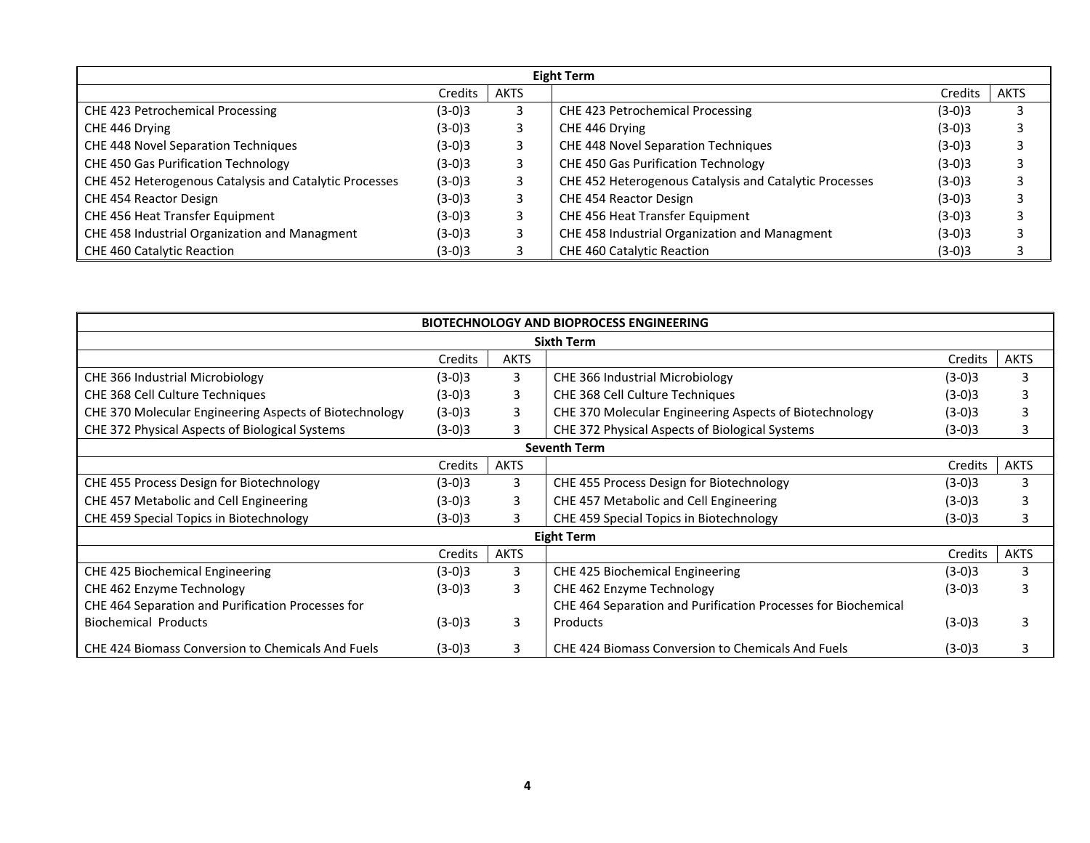| Eight Term                                             |          |             |                                                        |          |             |  |  |  |  |
|--------------------------------------------------------|----------|-------------|--------------------------------------------------------|----------|-------------|--|--|--|--|
|                                                        | Credits  | <b>AKTS</b> |                                                        | Credits  | <b>AKTS</b> |  |  |  |  |
| CHE 423 Petrochemical Processing                       | $(3-0)3$ |             | CHE 423 Petrochemical Processing                       | $(3-0)3$ |             |  |  |  |  |
| CHE 446 Drying                                         | $(3-0)3$ |             | CHE 446 Drying                                         | $(3-0)3$ |             |  |  |  |  |
| CHE 448 Novel Separation Techniques                    | $(3-0)3$ |             | <b>CHE 448 Novel Separation Techniques</b>             | $(3-0)3$ |             |  |  |  |  |
| CHE 450 Gas Purification Technology                    | $(3-0)3$ |             | CHE 450 Gas Purification Technology                    | $(3-0)3$ |             |  |  |  |  |
| CHE 452 Heterogenous Catalysis and Catalytic Processes | $(3-0)3$ | 3.          | CHE 452 Heterogenous Catalysis and Catalytic Processes | $(3-0)3$ |             |  |  |  |  |
| CHE 454 Reactor Design                                 | $(3-0)3$ |             | CHE 454 Reactor Design                                 | $(3-0)3$ |             |  |  |  |  |
| CHE 456 Heat Transfer Equipment                        | $(3-0)3$ |             | CHE 456 Heat Transfer Equipment                        | $(3-0)3$ |             |  |  |  |  |
| CHE 458 Industrial Organization and Managment          | $(3-0)3$ |             | CHE 458 Industrial Organization and Managment          | $(3-0)3$ |             |  |  |  |  |
| CHE 460 Catalytic Reaction                             | $(3-0)3$ |             | <b>CHE 460 Catalytic Reaction</b>                      | $(3-0)3$ |             |  |  |  |  |

| <b>BIOTECHNOLOGY AND BIOPROCESS ENGINEERING</b>        |          |             |                                                               |                |             |  |  |  |
|--------------------------------------------------------|----------|-------------|---------------------------------------------------------------|----------------|-------------|--|--|--|
|                                                        |          |             | <b>Sixth Term</b>                                             |                |             |  |  |  |
|                                                        | Credits  | <b>AKTS</b> |                                                               | Credits        | <b>AKTS</b> |  |  |  |
| CHE 366 Industrial Microbiology                        | $(3-0)3$ | 3           | CHE 366 Industrial Microbiology                               | $(3-0)3$       | 3           |  |  |  |
| CHE 368 Cell Culture Techniques                        | $(3-0)3$ | 3           | CHE 368 Cell Culture Techniques                               | $(3-0)3$       |             |  |  |  |
| CHE 370 Molecular Engineering Aspects of Biotechnology | $(3-0)3$ | 3           | CHE 370 Molecular Engineering Aspects of Biotechnology        | $(3-0)3$       |             |  |  |  |
| CHE 372 Physical Aspects of Biological Systems         | $(3-0)3$ | 3           | CHE 372 Physical Aspects of Biological Systems                | $(3-0)3$       |             |  |  |  |
| <b>Seventh Term</b>                                    |          |             |                                                               |                |             |  |  |  |
|                                                        | Credits  | <b>AKTS</b> |                                                               | <b>Credits</b> | <b>AKTS</b> |  |  |  |
| CHE 455 Process Design for Biotechnology               | $(3-0)3$ | 3           | CHE 455 Process Design for Biotechnology                      | $(3-0)3$       | 3           |  |  |  |
| CHE 457 Metabolic and Cell Engineering                 | $(3-0)3$ | 3           | CHE 457 Metabolic and Cell Engineering                        | $(3-0)3$       |             |  |  |  |
| CHE 459 Special Topics in Biotechnology                | $(3-0)3$ | 3           | CHE 459 Special Topics in Biotechnology                       | (3-0)3         |             |  |  |  |
|                                                        |          |             | <b>Eight Term</b>                                             |                |             |  |  |  |
|                                                        | Credits  | <b>AKTS</b> |                                                               | Credits        | <b>AKTS</b> |  |  |  |
| CHE 425 Biochemical Engineering                        | $(3-0)3$ | 3           | CHE 425 Biochemical Engineering                               | $(3-0)3$       | 3           |  |  |  |
| CHE 462 Enzyme Technology                              | $(3-0)3$ | 3           | CHE 462 Enzyme Technology                                     | $(3-0)3$       | 3           |  |  |  |
| CHE 464 Separation and Purification Processes for      |          |             | CHE 464 Separation and Purification Processes for Biochemical |                |             |  |  |  |
| <b>Biochemical Products</b>                            | $(3-0)3$ | 3           | Products                                                      | $(3-0)3$       |             |  |  |  |
| CHE 424 Biomass Conversion to Chemicals And Fuels      | $(3-0)3$ | 3           | CHE 424 Biomass Conversion to Chemicals And Fuels             | $(3-0)3$       |             |  |  |  |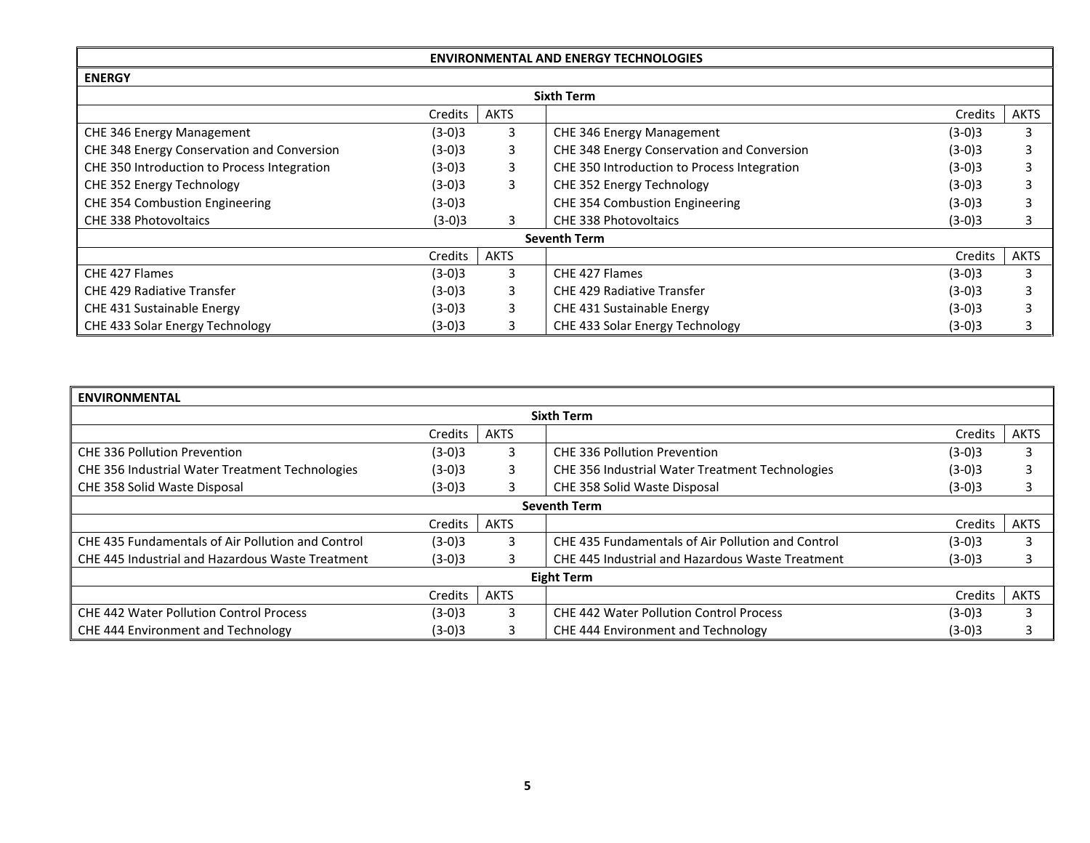| <b>ENVIRONMENTAL AND ENERGY TECHNOLOGIES</b> |          |             |                                             |          |      |  |  |  |  |
|----------------------------------------------|----------|-------------|---------------------------------------------|----------|------|--|--|--|--|
| <b>ENERGY</b>                                |          |             |                                             |          |      |  |  |  |  |
| <b>Sixth Term</b>                            |          |             |                                             |          |      |  |  |  |  |
|                                              | Credits  | <b>AKTS</b> |                                             | Credits  | AKTS |  |  |  |  |
| CHE 346 Energy Management                    | $(3-0)3$ | 3           | CHE 346 Energy Management                   | $(3-0)3$ |      |  |  |  |  |
| CHE 348 Energy Conservation and Conversion   | $(3-0)3$ | 3           | CHE 348 Energy Conservation and Conversion  | $(3-0)3$ |      |  |  |  |  |
| CHE 350 Introduction to Process Integration  | $(3-0)3$ | 3           | CHE 350 Introduction to Process Integration | $(3-0)3$ |      |  |  |  |  |
| CHE 352 Energy Technology                    | $(3-0)3$ | 3           | CHE 352 Energy Technology                   | $(3-0)3$ |      |  |  |  |  |
| CHE 354 Combustion Engineering               | $(3-0)3$ |             | <b>CHE 354 Combustion Engineering</b>       | $(3-0)3$ |      |  |  |  |  |
| <b>CHE 338 Photovoltaics</b>                 | $(3-0)3$ | 3           | <b>CHE 338 Photovoltaics</b>                | $(3-0)3$ |      |  |  |  |  |
|                                              |          |             | <b>Seventh Term</b>                         |          |      |  |  |  |  |
|                                              | Credits  | <b>AKTS</b> |                                             | Credits  | AKTS |  |  |  |  |
| CHE 427 Flames                               | $(3-0)3$ | 3           | CHE 427 Flames                              | $(3-0)3$ |      |  |  |  |  |
| <b>CHE 429 Radiative Transfer</b>            | $(3-0)3$ | 3           | <b>CHE 429 Radiative Transfer</b>           | $(3-0)3$ |      |  |  |  |  |
| CHE 431 Sustainable Energy                   | $(3-0)3$ | 3           | CHE 431 Sustainable Energy                  | $(3-0)3$ |      |  |  |  |  |
| CHE 433 Solar Energy Technology              | $(3-0)3$ |             | CHE 433 Solar Energy Technology             | $(3-0)3$ |      |  |  |  |  |

| <b>ENVIRONMENTAL</b>                                   |          |             |                                                   |          |             |  |  |  |
|--------------------------------------------------------|----------|-------------|---------------------------------------------------|----------|-------------|--|--|--|
| <b>Sixth Term</b>                                      |          |             |                                                   |          |             |  |  |  |
|                                                        | Credits  | <b>AKTS</b> |                                                   | Credits  | <b>AKTS</b> |  |  |  |
| <b>CHE 336 Pollution Prevention</b>                    | $(3-0)3$ | 3           | <b>CHE 336 Pollution Prevention</b>               | $(3-0)3$ |             |  |  |  |
| <b>CHE 356 Industrial Water Treatment Technologies</b> | $(3-0)3$ | 3           | CHE 356 Industrial Water Treatment Technologies   | $(3-0)3$ |             |  |  |  |
| CHE 358 Solid Waste Disposal                           | $(3-0)3$ | 3           | CHE 358 Solid Waste Disposal                      | $(3-0)3$ |             |  |  |  |
| <b>Seventh Term</b>                                    |          |             |                                                   |          |             |  |  |  |
|                                                        | Credits  | <b>AKTS</b> |                                                   | Credits  | <b>AKTS</b> |  |  |  |
| CHE 435 Fundamentals of Air Pollution and Control      | $(3-0)3$ | 3           | CHE 435 Fundamentals of Air Pollution and Control | $(3-0)3$ |             |  |  |  |
| CHE 445 Industrial and Hazardous Waste Treatment       | $(3-0)3$ |             | CHE 445 Industrial and Hazardous Waste Treatment  | $(3-0)3$ |             |  |  |  |
|                                                        |          |             | <b>Eight Term</b>                                 |          |             |  |  |  |
|                                                        | Credits  | <b>AKTS</b> |                                                   | Credits  | <b>AKTS</b> |  |  |  |
| <b>CHE 442 Water Pollution Control Process</b>         | $(3-0)3$ | 3           | <b>CHE 442 Water Pollution Control Process</b>    | $(3-0)3$ |             |  |  |  |
| CHE 444 Environment and Technology                     | $(3-0)3$ | 3           | CHE 444 Environment and Technology                | $(3-0)3$ |             |  |  |  |